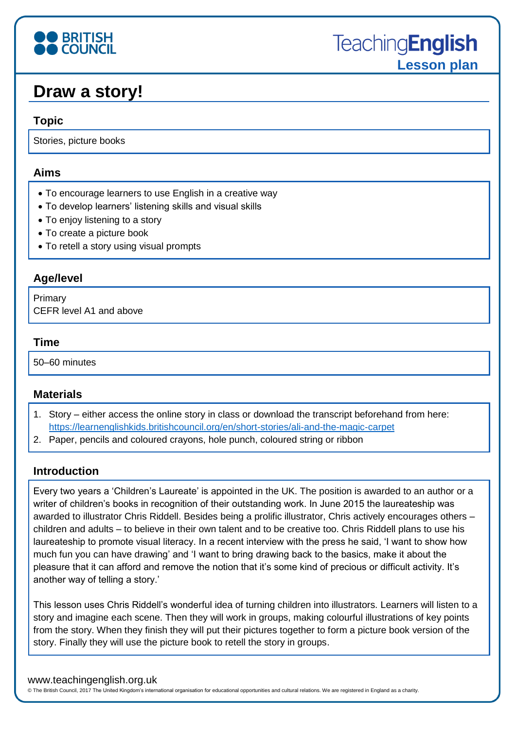# **BRITISH**<br>**COUNCIL**

## **Draw a story!**

#### **Topic**

Stories, picture books

#### **Aims**

- To encourage learners to use English in a creative way
- To develop learners' listening skills and visual skills
- To enjoy listening to a story
- To create a picture book
- To retell a story using visual prompts

#### **Age/level**

Primary CEFR level A1 and above

#### **Time**

50–60 minutes

#### **Materials**

- 1. Story either access the online story in class or download the transcript beforehand from here: <https://learnenglishkids.britishcouncil.org/en/short-stories/ali-and-the-magic-carpet>
- 2. Paper, pencils and coloured crayons, hole punch, coloured string or ribbon

#### **Introduction**

Every two years a 'Children's Laureate' is appointed in the UK. The position is awarded to an author or a writer of children's books in recognition of their outstanding work. In June 2015 the laureateship was awarded to illustrator Chris Riddell. Besides being a prolific illustrator, Chris actively encourages others – children and adults – to believe in their own talent and to be creative too. Chris Riddell plans to use his laureateship to promote visual literacy. In a recent interview with the press he said, 'I want to show how much fun you can have drawing' and 'I want to bring drawing back to the basics, make it about the pleasure that it can afford and remove the notion that it's some kind of precious or difficult activity. It's another way of telling a story.'

This lesson uses Chris Riddell's wonderful idea of turning children into illustrators. Learners will listen to a story and imagine each scene. Then they will work in groups, making colourful illustrations of key points from the story. When they finish they will put their pictures together to form a picture book version of the story. Finally they will use the picture book to retell the story in groups.

#### www.teachingenglish.org.uk

© The British Council, 2017 The United Kingdom's international organisation for educational opportunities and cultural relations. We are registered in England as a charity.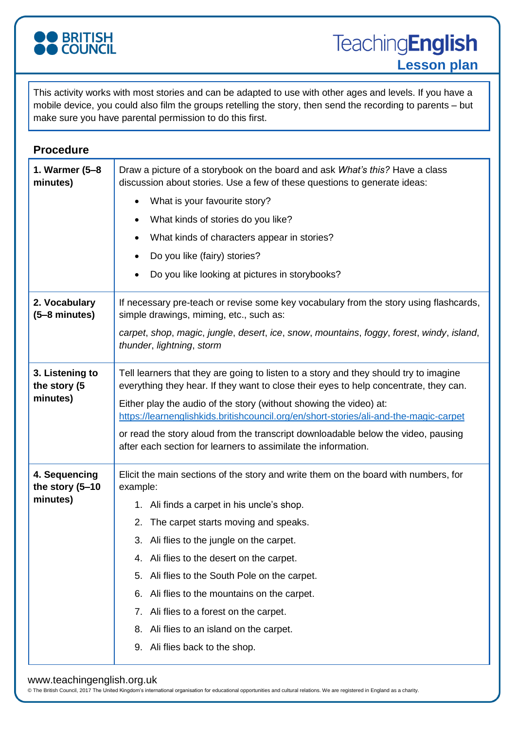

**TeachingEnglish Lesson plan**

This activity works with most stories and can be adapted to use with other ages and levels. If you have a mobile device, you could also film the groups retelling the story, then send the recording to parents – but make sure you have parental permission to do this first.

| <b>Procedure</b>                             |                                                                                                                                                                                |
|----------------------------------------------|--------------------------------------------------------------------------------------------------------------------------------------------------------------------------------|
| 1. Warmer (5-8<br>minutes)                   | Draw a picture of a storybook on the board and ask What's this? Have a class<br>discussion about stories. Use a few of these questions to generate ideas:                      |
|                                              | What is your favourite story?<br>$\bullet$                                                                                                                                     |
|                                              | What kinds of stories do you like?<br>$\bullet$                                                                                                                                |
|                                              | What kinds of characters appear in stories?                                                                                                                                    |
|                                              | Do you like (fairy) stories?                                                                                                                                                   |
|                                              | Do you like looking at pictures in storybooks?                                                                                                                                 |
| 2. Vocabulary<br>$(5-8$ minutes)             | If necessary pre-teach or revise some key vocabulary from the story using flashcards,<br>simple drawings, miming, etc., such as:                                               |
|                                              | carpet, shop, magic, jungle, desert, ice, snow, mountains, foggy, forest, windy, island,<br>thunder, lightning, storm                                                          |
| 3. Listening to<br>the story (5<br>minutes)  | Tell learners that they are going to listen to a story and they should try to imagine<br>everything they hear. If they want to close their eyes to help concentrate, they can. |
|                                              | Either play the audio of the story (without showing the video) at:<br>https://learnenglishkids.britishcouncil.org/en/short-stories/ali-and-the-magic-carpet                    |
|                                              | or read the story aloud from the transcript downloadable below the video, pausing<br>after each section for learners to assimilate the information.                            |
| 4. Sequencing<br>the story (5-10<br>minutes) | Elicit the main sections of the story and write them on the board with numbers, for<br>example:                                                                                |
|                                              | 1. Ali finds a carpet in his uncle's shop.                                                                                                                                     |
|                                              | 2. The carpet starts moving and speaks.                                                                                                                                        |
|                                              | Ali flies to the jungle on the carpet.<br>3.                                                                                                                                   |
|                                              | Ali flies to the desert on the carpet.<br>4.                                                                                                                                   |
|                                              | Ali flies to the South Pole on the carpet.<br>5.                                                                                                                               |
|                                              | Ali flies to the mountains on the carpet.<br>6.                                                                                                                                |
|                                              | Ali flies to a forest on the carpet.<br>7.                                                                                                                                     |
|                                              | Ali flies to an island on the carpet.<br>8.                                                                                                                                    |
|                                              | Ali flies back to the shop.<br>9.                                                                                                                                              |

#### www.teachingenglish.org.uk

© The British Council, 2017 The United Kingdom's international organisation for educational opportunities and cultural relations. We are registered in England as a charity.